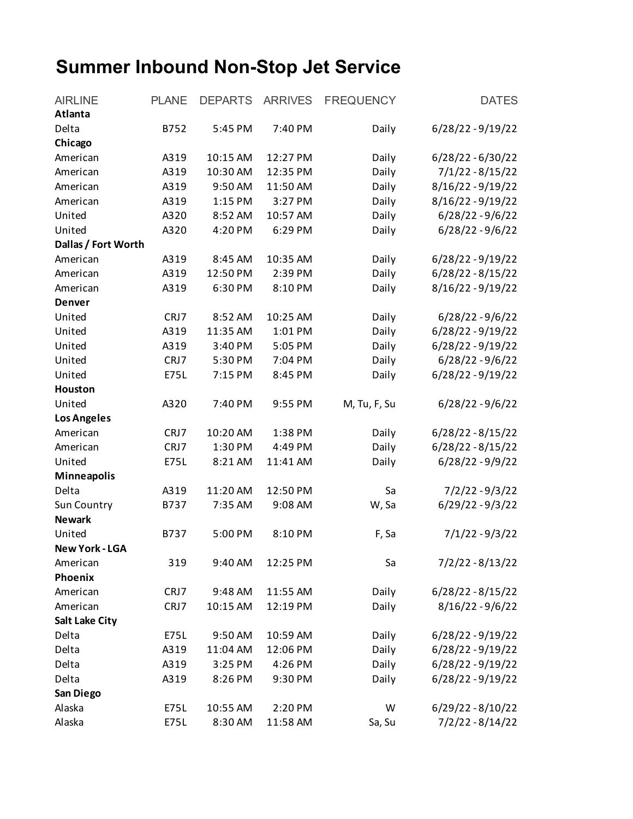## **Summer Inbound Non-Stop Jet Service**

| <b>AIRLINE</b>        | <b>PLANE</b> | <b>DEPARTS</b> | <b>ARRIVES</b> | <b>FREQUENCY</b> | <b>DATES</b>        |
|-----------------------|--------------|----------------|----------------|------------------|---------------------|
| <b>Atlanta</b>        |              |                |                |                  |                     |
| Delta                 | B752         | 5:45 PM        | 7:40 PM        | Daily            | 6/28/22 - 9/19/22   |
| Chicago               |              |                |                |                  |                     |
| American              | A319         | 10:15 AM       | 12:27 PM       | Daily            | $6/28/22 - 6/30/22$ |
| American              | A319         | 10:30 AM       | 12:35 PM       | Daily            | $7/1/22 - 8/15/22$  |
| American              | A319         | 9:50 AM        | 11:50 AM       | Daily            | 8/16/22 - 9/19/22   |
| American              | A319         | 1:15 PM        | 3:27 PM        | Daily            | 8/16/22 - 9/19/22   |
| United                | A320         | 8:52 AM        | 10:57 AM       | Daily            | $6/28/22 - 9/6/22$  |
| United                | A320         | 4:20 PM        | 6:29 PM        | Daily            | $6/28/22 - 9/6/22$  |
| Dallas / Fort Worth   |              |                |                |                  |                     |
| American              | A319         | 8:45 AM        | 10:35 AM       | Daily            | 6/28/22 - 9/19/22   |
| American              | A319         | 12:50 PM       | 2:39 PM        | Daily            | $6/28/22 - 8/15/22$ |
| American              | A319         | 6:30 PM        | 8:10 PM        | Daily            | 8/16/22-9/19/22     |
| <b>Denver</b>         |              |                |                |                  |                     |
| United                | CRJ7         | 8:52 AM        | 10:25 AM       | Daily            | $6/28/22 - 9/6/22$  |
| United                | A319         | 11:35 AM       | 1:01 PM        | Daily            | 6/28/22 - 9/19/22   |
| United                | A319         | 3:40 PM        | 5:05 PM        | Daily            | 6/28/22 - 9/19/22   |
| United                | CRJ7         | 5:30 PM        | 7:04 PM        | Daily            | $6/28/22 - 9/6/22$  |
| United                | <b>E75L</b>  | 7:15 PM        | 8:45 PM        | Daily            | 6/28/22 - 9/19/22   |
| Houston               |              |                |                |                  |                     |
| United                | A320         | 7:40 PM        | 9:55 PM        | M, Tu, F, Su     | $6/28/22 - 9/6/22$  |
| <b>Los Angeles</b>    |              |                |                |                  |                     |
| American              | CRJ7         | 10:20 AM       | 1:38 PM        | Daily            | $6/28/22 - 8/15/22$ |
| American              | CRJ7         | 1:30 PM        | 4:49 PM        | Daily            | $6/28/22 - 8/15/22$ |
| United                | E75L         | 8:21 AM        | 11:41 AM       | Daily            | $6/28/22 - 9/9/22$  |
| <b>Minneapolis</b>    |              |                |                |                  |                     |
| Delta                 | A319         | 11:20 AM       | 12:50 PM       | Sa               | $7/2/22 - 9/3/22$   |
| Sun Country           | B737         | 7:35 AM        | 9:08 AM        | W, Sa            | $6/29/22 - 9/3/22$  |
| <b>Newark</b>         |              |                |                |                  |                     |
| United                | B737         | 5:00 PM        | 8:10 PM        | F, Sa            | $7/1/22 - 9/3/22$   |
| <b>New York - LGA</b> |              |                |                |                  |                     |
| American              | 319          | 9:40 AM        | 12:25 PM       | Sa               | $7/2/22 - 8/13/22$  |
| Phoenix               |              |                |                |                  |                     |
| American              | CRJ7         | 9:48 AM        | 11:55 AM       | Daily            | $6/28/22 - 8/15/22$ |
| American              | CRJ7         | 10:15 AM       | 12:19 PM       | Daily            | $8/16/22 - 9/6/22$  |
| <b>Salt Lake City</b> |              |                |                |                  |                     |
| Delta                 | E75L         | 9:50 AM        | 10:59 AM       | Daily            | 6/28/22 - 9/19/22   |
| Delta                 | A319         | 11:04 AM       | 12:06 PM       | Daily            | 6/28/22 - 9/19/22   |
| Delta                 | A319         | 3:25 PM        | 4:26 PM        | Daily            | $6/28/22 - 9/19/22$ |
| Delta                 | A319         | 8:26 PM        | 9:30 PM        | Daily            | 6/28/22 - 9/19/22   |
| San Diego             |              |                |                |                  |                     |
| Alaska                | E75L         | 10:55 AM       | 2:20 PM        | W                | $6/29/22 - 8/10/22$ |
| Alaska                | E75L         | 8:30 AM        | 11:58 AM       | Sa, Su           | 7/2/22 - 8/14/22    |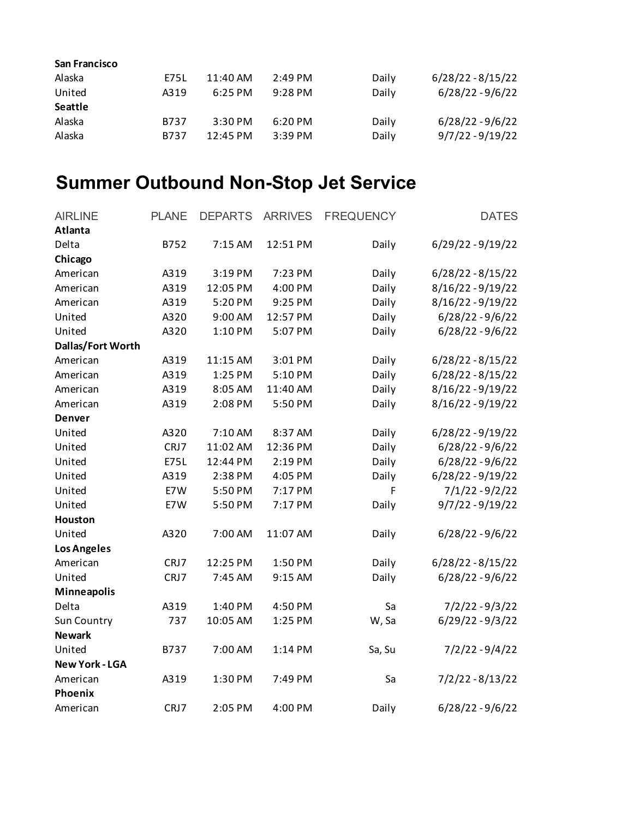| <b>San Francisco</b> |      |                    |                   |       |                     |
|----------------------|------|--------------------|-------------------|-------|---------------------|
| Alaska               | E75L | 11:40 AM           | $2:49 \text{ PM}$ | Daily | $6/28/22 - 8/15/22$ |
| United               | A319 | $6:25$ PM          | $9:28 \text{ PM}$ | Daily | $6/28/22 - 9/6/22$  |
| <b>Seattle</b>       |      |                    |                   |       |                     |
| Alaska               | B737 | $3:30$ PM          | 6:20 PM           | Daily | $6/28/22 - 9/6/22$  |
| Alaska               | B737 | $12:45 \text{ PM}$ | $3:39$ PM         | Daily | $9/7/22 - 9/19/22$  |

## **Summer Outbound Non-Stop Jet Service**

| <b>AIRLINE</b>        | <b>PLANE</b> | <b>DEPARTS</b> | <b>ARRIVES</b> | <b>FREQUENCY</b> | <b>DATES</b>        |
|-----------------------|--------------|----------------|----------------|------------------|---------------------|
| Atlanta               |              |                |                |                  |                     |
| Delta                 | B752         | 7:15 AM        | 12:51 PM       | Daily            | 6/29/22 - 9/19/22   |
| Chicago               |              |                |                |                  |                     |
| American              | A319         | 3:19 PM        | 7:23 PM        | Daily            | $6/28/22 - 8/15/22$ |
| American              | A319         | 12:05 PM       | 4:00 PM        | Daily            | 8/16/22 - 9/19/22   |
| American              | A319         | 5:20 PM        | 9:25 PM        | Daily            | 8/16/22 - 9/19/22   |
| United                | A320         | 9:00 AM        | 12:57 PM       | Daily            | $6/28/22 - 9/6/22$  |
| United                | A320         | 1:10 PM        | 5:07 PM        | Daily            | $6/28/22 - 9/6/22$  |
| Dallas/Fort Worth     |              |                |                |                  |                     |
| American              | A319         | 11:15 AM       | 3:01 PM        | Daily            | $6/28/22 - 8/15/22$ |
| American              | A319         | 1:25 PM        | 5:10 PM        | Daily            | $6/28/22 - 8/15/22$ |
| American              | A319         | 8:05 AM        | 11:40 AM       | Daily            | 8/16/22-9/19/22     |
| American              | A319         | 2:08 PM        | 5:50 PM        | Daily            | 8/16/22 - 9/19/22   |
| <b>Denver</b>         |              |                |                |                  |                     |
| United                | A320         | 7:10 AM        | 8:37 AM        | Daily            | 6/28/22 - 9/19/22   |
| United                | CRJ7         | 11:02 AM       | 12:36 PM       | Daily            | $6/28/22 - 9/6/22$  |
| United                | <b>E75L</b>  | 12:44 PM       | 2:19 PM        | Daily            | $6/28/22 - 9/6/22$  |
| United                | A319         | 2:38 PM        | 4:05 PM        | Daily            | 6/28/22 - 9/19/22   |
| United                | E7W          | 5:50 PM        | 7:17 PM        | F                | $7/1/22 - 9/2/22$   |
| United                | E7W          | 5:50 PM        | 7:17 PM        | Daily            | $9/7/22 - 9/19/22$  |
| <b>Houston</b>        |              |                |                |                  |                     |
| United                | A320         | 7:00 AM        | 11:07 AM       | Daily            | $6/28/22 - 9/6/22$  |
| <b>Los Angeles</b>    |              |                |                |                  |                     |
| American              | CRJ7         | 12:25 PM       | 1:50 PM        | Daily            | $6/28/22 - 8/15/22$ |
| United                | CRJ7         | 7:45 AM        | 9:15 AM        | Daily            | $6/28/22 - 9/6/22$  |
| <b>Minneapolis</b>    |              |                |                |                  |                     |
| Delta                 | A319         | 1:40 PM        | 4:50 PM        | Sa               | $7/2/22 - 9/3/22$   |
| Sun Country           | 737          | 10:05 AM       | 1:25 PM        | W, Sa            | $6/29/22 - 9/3/22$  |
| <b>Newark</b>         |              |                |                |                  |                     |
| United                | B737         | 7:00 AM        | 1:14 PM        | Sa, Su           | $7/2/22 - 9/4/22$   |
| <b>New York - LGA</b> |              |                |                |                  |                     |
| American              | A319         | 1:30 PM        | 7:49 PM        | Sa               | $7/2/22 - 8/13/22$  |
| Phoenix               |              |                |                |                  |                     |
| American              | CRJ7         | 2:05 PM        | 4:00 PM        | Daily            | $6/28/22 - 9/6/22$  |